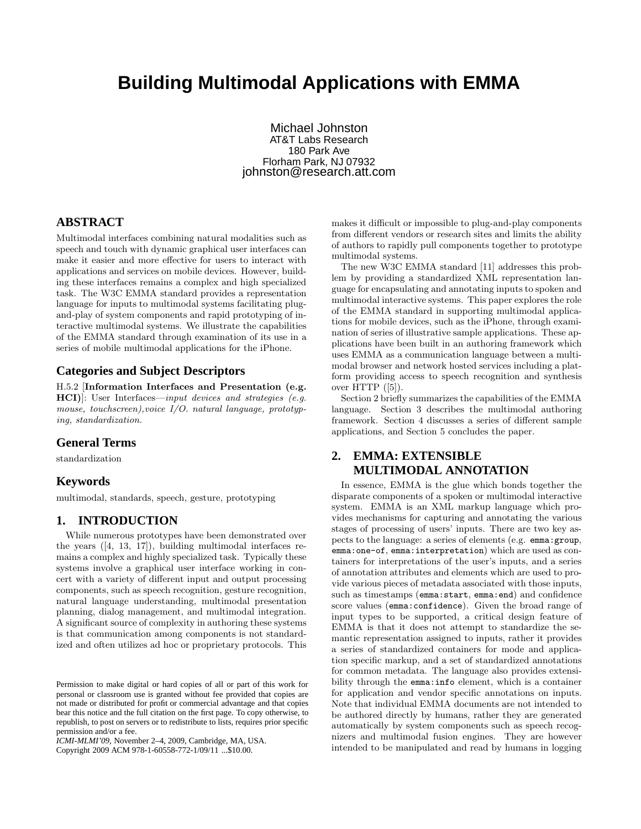# **Building Multimodal Applications with EMMA**

Michael Johnston AT&T Labs Research 180 Park Ave Florham Park, NJ 07932 johnston@research.att.com

## **ABSTRACT**

Multimodal interfaces combining natural modalities such as speech and touch with dynamic graphical user interfaces can make it easier and more effective for users to interact with applications and services on mobile devices. However, building these interfaces remains a complex and high specialized task. The W3C EMMA standard provides a representation language for inputs to multimodal systems facilitating plugand-play of system components and rapid prototyping of interactive multimodal systems. We illustrate the capabilities of the EMMA standard through examination of its use in a series of mobile multimodal applications for the iPhone.

### **Categories and Subject Descriptors**

H.5.2 [**Information Interfaces and Presentation (e.g. HCI)**]: User Interfaces—*input devices and strategies (e.g. mouse, touchscreen),voice I/O. natural language, prototyping, standardization.*

### **General Terms**

standardization

### **Keywords**

multimodal, standards, speech, gesture, prototyping

### **1. INTRODUCTION**

While numerous prototypes have been demonstrated over the years ([4, 13, 17]), building multimodal interfaces remains a complex and highly specialized task. Typically these systems involve a graphical user interface working in concert with a variety of different input and output processing components, such as speech recognition, gesture recognition, natural language understanding, multimodal presentation planning, dialog management, and multimodal integration. A significant source of complexity in authoring these systems is that communication among components is not standardized and often utilizes ad hoc or proprietary protocols. This

*ICMI-MLMI'09,* November 2–4, 2009, Cambridge, MA, USA.

Copyright 2009 ACM 978-1-60558-772-1/09/11 ...\$10.00.

makes it difficult or impossible to plug-and-play components from different vendors or research sites and limits the ability of authors to rapidly pull components together to prototype multimodal systems.

The new W3C EMMA standard [11] addresses this problem by providing a standardized XML representation language for encapsulating and annotating inputs to spoken and multimodal interactive systems. This paper explores the role of the EMMA standard in supporting multimodal applications for mobile devices, such as the iPhone, through examination of series of illustrative sample applications. These applications have been built in an authoring framework which uses EMMA as a communication language between a multimodal browser and network hosted services including a platform providing access to speech recognition and synthesis over HTTP  $([5])$ .

Section 2 briefly summarizes the capabilities of the EMMA language. Section 3 describes the multimodal authoring framework. Section 4 discusses a series of different sample applications, and Section 5 concludes the paper.

# **2. EMMA: EXTENSIBLE MULTIMODAL ANNOTATION**

In essence, EMMA is the glue which bonds together the disparate components of a spoken or multimodal interactive system. EMMA is an XML markup language which provides mechanisms for capturing and annotating the various stages of processing of users' inputs. There are two key aspects to the language: a series of elements (e.g. emma:group, emma:one-of, emma:interpretation) which are used as containers for interpretations of the user's inputs, and a series of annotation attributes and elements which are used to provide various pieces of metadata associated with those inputs, such as timestamps (emma:start, emma:end) and confidence score values (emma:confidence). Given the broad range of input types to be supported, a critical design feature of EMMA is that it does not attempt to standardize the semantic representation assigned to inputs, rather it provides a series of standardized containers for mode and application specific markup, and a set of standardized annotations for common metadata. The language also provides extensibility through the emma:info element, which is a container for application and vendor specific annotations on inputs. Note that individual EMMA documents are not intended to be authored directly by humans, rather they are generated automatically by system components such as speech recognizers and multimodal fusion engines. They are however intended to be manipulated and read by humans in logging

Permission to make digital or hard copies of all or part of this work for personal or classroom use is granted without fee provided that copies are not made or distributed for profit or commercial advantage and that copies bear this notice and the full citation on the first page. To copy otherwise, to republish, to post on servers or to redistribute to lists, requires prior specific permission and/or a fee.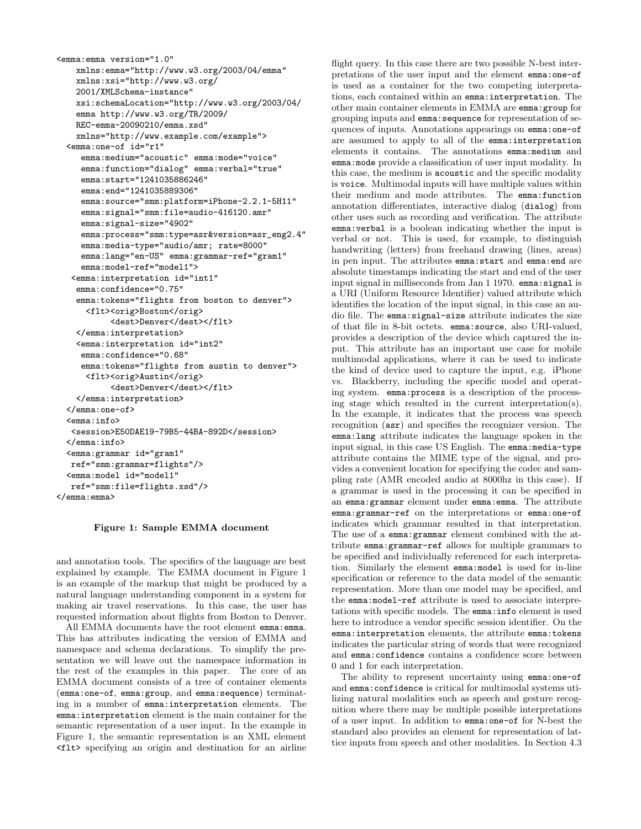```
<emma:emma version="1.0"
   xmlns:emma="http://www.w3.org/2003/04/emma"
   xmlns:xsi="http://www.w3.org/
   2001/XMLSchema-instance"
   xsi:schemaLocation="http://www.w3.org/2003/04/
    emma http://www.w3.org/TR/2009/
   REC-emma-20090210/emma.xsd"
   xmlns="http://www.example.com/example">
  <emma:one-of id="r1"
     emma:medium="acoustic" emma:mode="voice"
     emma:function="dialog" emma:verbal="true"
     emma:start="1241035886246"
     emma:end="1241035889306"
     emma:source="smm:platform=iPhone-2.2.1-5H11"
     emma:signal="smm:file=audio-416120.amr"
     emma:signal-size="4902"
     emma:process="smm:type=asr&version=asr_eng2.4"
     emma:media-type="audio/amr; rate=8000"
     emma:lang="en-US" emma:grammar-ref="gram1"
     emma:model-ref="model1">
   <emma:interpretation id="int1"
    emma:confidence="0.75"
    emma:tokens="flights from boston to denver">
      <flt><orig>Boston</orig>
           <dest>Denver</dest></flt>
    </emma:interpretation>
    <emma:interpretation id="int2"
     emma:confidence="0.68"
     emma:tokens="flights from austin to denver">
      <flt><orig>Austin</orig>
           <dest>Denver</dest></flt>
    </emma:interpretation>
  </emma:one-of>
  \langleemma\cdotinfo>
   <session>E50DAE19-79B5-44BA-892D</session>
  </emma:info>
  <emma:grammar id="gram1"
  ref="smm:grammar=flights"/>
  <emma:model id="model1"
   ref="smm:file=flights.xsd"/>
</emma:emma>
```
#### **Figure 1: Sample EMMA document**

and annotation tools. The specifics of the language are best explained by example. The EMMA document in Figure 1 is an example of the markup that might be produced by a natural language understanding component in a system for making air travel reservations. In this case, the user has requested information about flights from Boston to Denver.

All EMMA documents have the root element emma:emma. This has attributes indicating the version of EMMA and namespace and schema declarations. To simplify the presentation we will leave out the namespace information in the rest of the examples in this paper. The core of an EMMA document consists of a tree of container elements (emma:one-of, emma:group, and emma:sequence) terminating in a number of emma:interpretation elements. The emma:interpretation element is the main container for the semantic representation of a user input. In the example in Figure 1, the semantic representation is an XML element <flt> specifying an origin and destination for an airline

flight query. In this case there are two possible N-best interpretations of the user input and the element emma:one-of is used as a container for the two competing interpretations, each contained within an emma:interpretation. The other main container elements in EMMA are emma:group for grouping inputs and emma:sequence for representation of sequences of inputs. Annotations appearings on emma:one-of are assumed to apply to all of the emma:interpretation elements it contains. The annotations emma:medium and emma:mode provide a classification of user input modality. In this case, the medium is acoustic and the specific modality is voice. Multimodal inputs will have multiple values within their medium and mode attributes. The emma:function annotation differentiates, interactive dialog (dialog) from other uses such as recording and verification. The attribute emma:verbal is a boolean indicating whether the input is verbal or not. This is used, for example, to distinguish handwriting (letters) from freehand drawing (lines, areas) in pen input. The attributes emma:start and emma:end are absolute timestamps indicating the start and end of the user input signal in milliseconds from Jan 1 1970. emma:signal is a URI (Uniform Resource Identifier) valued attribute which identifies the location of the input signal, in this case an audio file. The emma:signal-size attribute indicates the size of that file in 8-bit octets. emma:source, also URI-valued, provides a description of the device which captured the input. This attribute has an important use case for mobile multimodal applications, where it can be used to indicate the kind of device used to capture the input, e.g. iPhone vs. Blackberry, including the specific model and operating system. emma:process is a description of the processing stage which resulted in the current interpretation(s). In the example, it indicates that the process was speech recognition (asr) and specifies the recognizer version. The emma:lang attribute indicates the language spoken in the input signal, in this case US English. The emma:media-type attribute contains the MIME type of the signal, and provides a convenient location for specifying the codec and sampling rate (AMR encoded audio at 8000hz in this case). If a grammar is used in the processing it can be specified in an emma: grammar element under emma: emma. The attribute emma:grammar-ref on the interpretations or emma:one-of indicates which grammar resulted in that interpretation. The use of a emma:grammar element combined with the attribute emma:grammar-ref allows for multiple grammars to be specified and individually referenced for each interpretation. Similarly the element emma:model is used for in-line specification or reference to the data model of the semantic representation. More than one model may be specified, and the emma:model-ref attribute is used to associate interpretations with specific models. The emma:info element is used here to introduce a vendor specific session identifier. On the emma:interpretation elements, the attribute emma:tokens indicates the particular string of words that were recognized and emma:confidence contains a confidence score between 0 and 1 for each interpretation.

The ability to represent uncertainty using emma:one-of and emma:confidence is critical for multimodal systems utilizing natural modalities such as speech and gesture recognition where there may be multiple possible interpretations of a user input. In addition to emma:one-of for N-best the standard also provides an element for representation of lattice inputs from speech and other modalities. In Section 4.3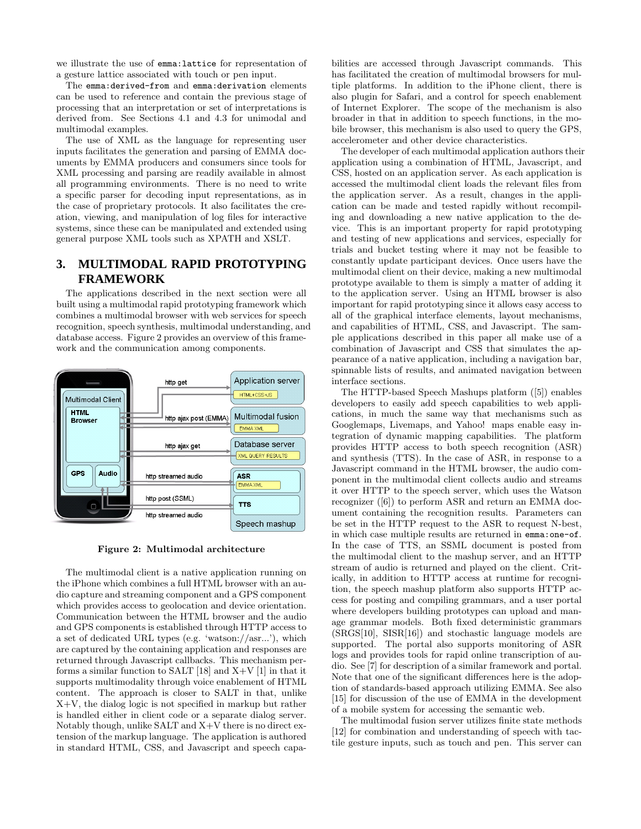we illustrate the use of emma:lattice for representation of a gesture lattice associated with touch or pen input.

The emma:derived-from and emma:derivation elements can be used to reference and contain the previous stage of processing that an interpretation or set of interpretations is derived from. See Sections 4.1 and 4.3 for unimodal and multimodal examples.

The use of XML as the language for representing user inputs facilitates the generation and parsing of EMMA documents by EMMA producers and consumers since tools for XML processing and parsing are readily available in almost all programming environments. There is no need to write a specific parser for decoding input representations, as in the case of proprietary protocols. It also facilitates the creation, viewing, and manipulation of log files for interactive systems, since these can be manipulated and extended using general purpose XML tools such as XPATH and XSLT.

# **3. MULTIMODAL RAPID PROTOTYPING FRAMEWORK**

The applications described in the next section were all built using a multimodal rapid prototyping framework which combines a multimodal browser with web services for speech recognition, speech synthesis, multimodal understanding, and database access. Figure 2 provides an overview of this framework and the communication among components.



**Figure 2: Multimodal architecture**

The multimodal client is a native application running on the iPhone which combines a full HTML browser with an audio capture and streaming component and a GPS component which provides access to geolocation and device orientation. Communication between the HTML browser and the audio and GPS components is established through HTTP access to a set of dedicated URL types (e.g. 'watson://asr...'), which are captured by the containing application and responses are returned through Javascript callbacks. This mechanism performs a similar function to SALT [18] and  $X+V$  [1] in that it supports multimodality through voice enablement of HTML content. The approach is closer to SALT in that, unlike X+V, the dialog logic is not specified in markup but rather is handled either in client code or a separate dialog server. Notably though, unlike SALT and X+V there is no direct extension of the markup language. The application is authored in standard HTML, CSS, and Javascript and speech capabilities are accessed through Javascript commands. This has facilitated the creation of multimodal browsers for multiple platforms. In addition to the iPhone client, there is also plugin for Safari, and a control for speech enablement of Internet Explorer. The scope of the mechanism is also broader in that in addition to speech functions, in the mobile browser, this mechanism is also used to query the GPS, accelerometer and other device characteristics.

The developer of each multimodal application authors their application using a combination of HTML, Javascript, and CSS, hosted on an application server. As each application is accessed the multimodal client loads the relevant files from the application server. As a result, changes in the application can be made and tested rapidly without recompiling and downloading a new native application to the device. This is an important property for rapid prototyping and testing of new applications and services, especially for trials and bucket testing where it may not be feasible to constantly update participant devices. Once users have the multimodal client on their device, making a new multimodal prototype available to them is simply a matter of adding it to the application server. Using an HTML browser is also important for rapid prototyping since it allows easy access to all of the graphical interface elements, layout mechanisms, and capabilities of HTML, CSS, and Javascript. The sample applications described in this paper all make use of a combination of Javascript and CSS that simulates the appearance of a native application, including a navigation bar, spinnable lists of results, and animated navigation between interface sections.

The HTTP-based Speech Mashups platform ([5]) enables developers to easily add speech capabilities to web applications, in much the same way that mechanisms such as Googlemaps, Livemaps, and Yahoo! maps enable easy integration of dynamic mapping capabilities. The platform provides HTTP access to both speech recognition (ASR) and synthesis (TTS). In the case of ASR, in response to a Javascript command in the HTML browser, the audio component in the multimodal client collects audio and streams it over HTTP to the speech server, which uses the Watson recognizer ([6]) to perform ASR and return an EMMA document containing the recognition results. Parameters can be set in the HTTP request to the ASR to request N-best, in which case multiple results are returned in emma:one-of. In the case of TTS, an SSML document is posted from the multimodal client to the mashup server, and an HTTP stream of audio is returned and played on the client. Critically, in addition to HTTP access at runtime for recognition, the speech mashup platform also supports HTTP access for posting and compiling grammars, and a user portal where developers building prototypes can upload and manage grammar models. Both fixed deterministic grammars (SRGS[10], SISR[16]) and stochastic language models are supported. The portal also supports monitoring of ASR logs and provides tools for rapid online transcription of audio. See [7] for description of a similar framework and portal. Note that one of the significant differences here is the adoption of standards-based approach utilizing EMMA. See also [15] for discussion of the use of EMMA in the development of a mobile system for accessing the semantic web.

The multimodal fusion server utilizes finite state methods [12] for combination and understanding of speech with tactile gesture inputs, such as touch and pen. This server can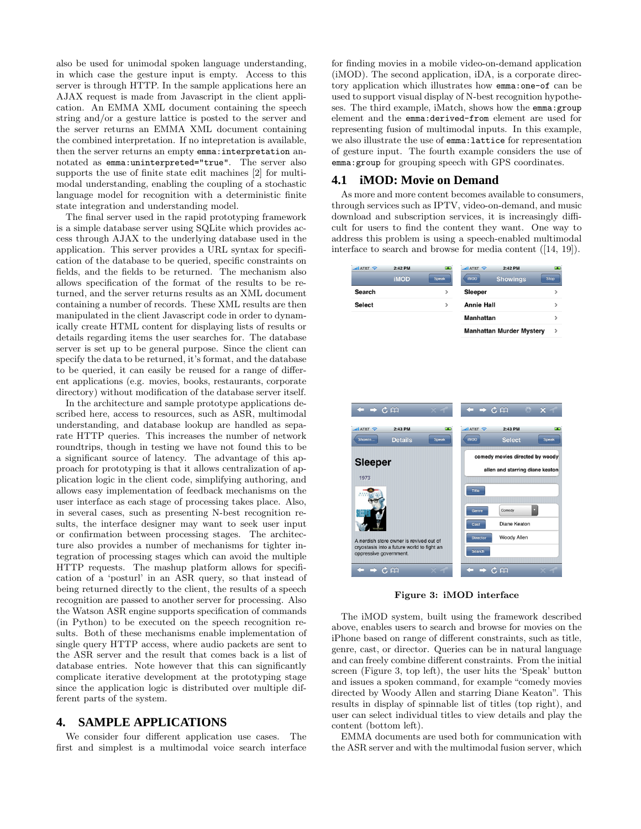also be used for unimodal spoken language understanding, in which case the gesture input is empty. Access to this server is through HTTP. In the sample applications here an AJAX request is made from Javascript in the client application. An EMMA XML document containing the speech string and/or a gesture lattice is posted to the server and the server returns an EMMA XML document containing the combined interpretation. If no intepretation is available, then the server returns an empty emma: interpretation annotated as emma:uninterpreted="true". The server also supports the use of finite state edit machines [2] for multimodal understanding, enabling the coupling of a stochastic language model for recognition with a deterministic finite state integration and understanding model.

The final server used in the rapid prototyping framework is a simple database server using SQLite which provides access through AJAX to the underlying database used in the application. This server provides a URL syntax for specification of the database to be queried, specific constraints on fields, and the fields to be returned. The mechanism also allows specification of the format of the results to be returned, and the server returns results as an XML document containing a number of records. These XML results are then manipulated in the client Javascript code in order to dynamically create HTML content for displaying lists of results or details regarding items the user searches for. The database server is set up to be general purpose. Since the client can specify the data to be returned, it's format, and the database to be queried, it can easily be reused for a range of different applications (e.g. movies, books, restaurants, corporate directory) without modification of the database server itself.

In the architecture and sample prototype applications described here, access to resources, such as ASR, multimodal understanding, and database lookup are handled as separate HTTP queries. This increases the number of network roundtrips, though in testing we have not found this to be a significant source of latency. The advantage of this approach for prototyping is that it allows centralization of application logic in the client code, simplifying authoring, and allows easy implementation of feedback mechanisms on the user interface as each stage of processing takes place. Also, in several cases, such as presenting N-best recognition results, the interface designer may want to seek user input or confirmation between processing stages. The architecture also provides a number of mechanisms for tighter integration of processing stages which can avoid the multiple HTTP requests. The mashup platform allows for specification of a 'posturl' in an ASR query, so that instead of being returned directly to the client, the results of a speech recognition are passed to another server for processing. Also the Watson ASR engine supports specification of commands (in Python) to be executed on the speech recognition results. Both of these mechanisms enable implementation of single query HTTP access, where audio packets are sent to the ASR server and the result that comes back is a list of database entries. Note however that this can significantly complicate iterative development at the prototyping stage since the application logic is distributed over multiple different parts of the system.

### **4. SAMPLE APPLICATIONS**

We consider four different application use cases. The first and simplest is a multimodal voice search interface for finding movies in a mobile video-on-demand application (iMOD). The second application, iDA, is a corporate directory application which illustrates how emma:one-of can be used to support visual display of N-best recognition hypotheses. The third example, iMatch, shows how the emma:group element and the emma:derived-from element are used for representing fusion of multimodal inputs. In this example, we also illustrate the use of emma:lattice for representation of gesture input. The fourth example considers the use of emma:group for grouping speech with GPS coordinates.

### **4.1 iMOD: Movie on Demand**

As more and more content becomes available to consumers, through services such as IPTV, video-on-demand, and music download and subscription services, it is increasingly difficult for users to find the content they want. One way to address this problem is using a speech-enabled multimodal interface to search and browse for media content ([14, 19]).

| $\overline{\bullet}$ T&TA line | 2:42 PM     | <b>BE</b>     | $\overline{\bullet}$ T&TA line<br>2:42 PM | F.            |
|--------------------------------|-------------|---------------|-------------------------------------------|---------------|
|                                | <b>iMOD</b> | <b>Speak</b>  | <b>Showings</b><br><b>IMOD</b>            | <b>Stop</b>   |
| Search                         |             | $\mathcal{P}$ | Sleeper                                   | >             |
| <b>Select</b>                  |             | $\mathcal{P}$ | <b>Annie Hall</b>                         | >             |
|                                |             |               | Manhattan                                 | $\mathcal{P}$ |
|                                |             |               | <b>Manhattan Murder Mystery</b>           | $\mathcal{P}$ |
|                                |             |               |                                           |               |
|                                |             |               |                                           |               |



**Figure 3: iMOD interface**

The iMOD system, built using the framework described above, enables users to search and browse for movies on the iPhone based on range of different constraints, such as title, genre, cast, or director. Queries can be in natural language and can freely combine different constraints. From the initial screen (Figure 3, top left), the user hits the 'Speak' button and issues a spoken command, for example "comedy movies directed by Woody Allen and starring Diane Keaton". This results in display of spinnable list of titles (top right), and user can select individual titles to view details and play the content (bottom left).

EMMA documents are used both for communication with the ASR server and with the multimodal fusion server, which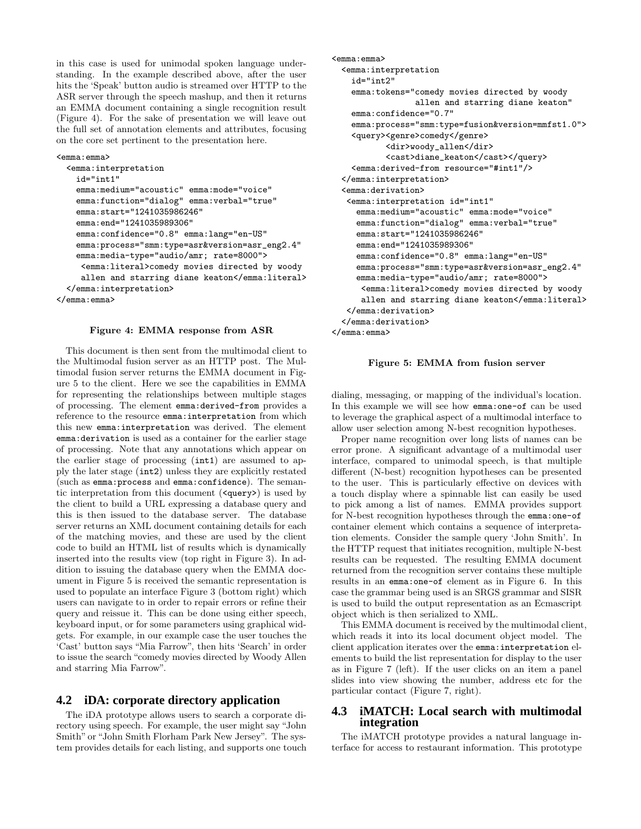in this case is used for unimodal spoken language understanding. In the example described above, after the user hits the 'Speak' button audio is streamed over HTTP to the ASR server through the speech mashup, and then it returns an EMMA document containing a single recognition result (Figure 4). For the sake of presentation we will leave out the full set of annotation elements and attributes, focusing on the core set pertinent to the presentation here.

#### <emma:emma>

```
<emma:interpretation
 id="int1"
  emma:medium="acoustic" emma:mode="voice"
  emma:function="dialog" emma:verbal="true"
  emma:start="1241035986246"
  emma:end="1241035989306"
  emma:confidence="0.8" emma:lang="en-US"
  emma:process="smm:type=asr&version=asr_eng2.4"
  emma:media-type="audio/amr; rate=8000">
   <emma:literal>comedy movies directed by woody
   allen and starring diane keaton</emma:literal>
</emma:interpretation>
```
</emma:emma>

#### **Figure 4: EMMA response from ASR**

This document is then sent from the multimodal client to the Multimodal fusion server as an HTTP post. The Multimodal fusion server returns the EMMA document in Figure 5 to the client. Here we see the capabilities in EMMA for representing the relationships between multiple stages of processing. The element emma:derived-from provides a reference to the resource emma: interpretation from which this new emma:interpretation was derived. The element emma:derivation is used as a container for the earlier stage of processing. Note that any annotations which appear on the earlier stage of processing (int1) are assumed to apply the later stage (int2) unless they are explicitly restated (such as emma:process and emma:confidence). The semantic interpretation from this document (<query>) is used by the client to build a URL expressing a database query and this is then issued to the database server. The database server returns an XML document containing details for each of the matching movies, and these are used by the client code to build an HTML list of results which is dynamically inserted into the results view (top right in Figure 3). In addition to issuing the database query when the EMMA document in Figure 5 is received the semantic representation is used to populate an interface Figure 3 (bottom right) which users can navigate to in order to repair errors or refine their query and reissue it. This can be done using either speech, keyboard input, or for some parameters using graphical widgets. For example, in our example case the user touches the 'Cast' button says "Mia Farrow", then hits 'Search' in order to issue the search "comedy movies directed by Woody Allen and starring Mia Farrow".

#### **4.2 iDA: corporate directory application**

The iDA prototype allows users to search a corporate directory using speech. For example, the user might say "John Smith" or "John Smith Florham Park New Jersey". The system provides details for each listing, and supports one touch

```
<emma:emma>
  <emma:interpretation
   id="int2"
    emma:tokens="comedy movies directed by woody
                 allen and starring diane keaton"
    emma:confidence="0.7"
    emma:process="smm:type=fusion&version=mmfst1.0">
    <query><genre>comedy</genre>
           <dir>woody_allen</dir>
           <cast>diane_keaton</cast></query>
    <emma:derived-from resource="#int1"/>
  </emma:interpretation>
  <emma:derivation>
  <emma:interpretation id="int1"
     emma:medium="acoustic" emma:mode="voice"
     emma:function="dialog" emma:verbal="true"
     emma:start="1241035986246"
     emma:end="1241035989306"
     emma:confidence="0.8" emma:lang="en-US"
     emma:process="smm:type=asr&version=asr_eng2.4"
     emma:media-type="audio/amr; rate=8000">
      <emma:literal>comedy movies directed by woody
      allen and starring diane keaton</emma:literal>
  </emma:derivation>
  </emma:derivation>
</emma:emma>
```
#### **Figure 5: EMMA from fusion server**

dialing, messaging, or mapping of the individual's location. In this example we will see how emma:one-of can be used to leverage the graphical aspect of a multimodal interface to allow user selection among N-best recognition hypotheses.

Proper name recognition over long lists of names can be error prone. A significant advantage of a multimodal user interface, compared to unimodal speech, is that multiple different (N-best) recognition hypotheses can be presented to the user. This is particularly effective on devices with a touch display where a spinnable list can easily be used to pick among a list of names. EMMA provides support for N-best recognition hypotheses through the emma:one-of container element which contains a sequence of interpretation elements. Consider the sample query 'John Smith'. In the HTTP request that initiates recognition, multiple N-best results can be requested. The resulting EMMA document returned from the recognition server contains these multiple results in an emma:one-of element as in Figure 6. In this case the grammar being used is an SRGS grammar and SISR is used to build the output representation as an Ecmascript object which is then serialized to XML.

This EMMA document is received by the multimodal client, which reads it into its local document object model. The client application iterates over the emma:interpretation elements to build the list representation for display to the user as in Figure 7 (left). If the user clicks on an item a panel slides into view showing the number, address etc for the particular contact (Figure 7, right).

### **4.3 iMATCH: Local search with multimodal integration**

The iMATCH prototype provides a natural language interface for access to restaurant information. This prototype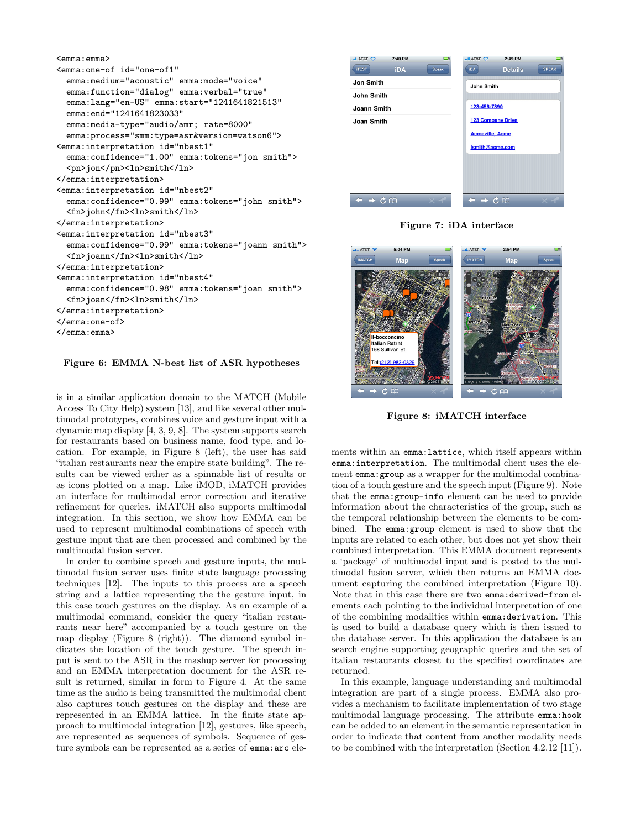| <emma:emma></emma:emma>                                            |  |  |  |  |
|--------------------------------------------------------------------|--|--|--|--|
| <emma:one-of <="" id="one-of1" td=""></emma:one-of>                |  |  |  |  |
| emma: medium="acoustic" emma: mode="voice"                         |  |  |  |  |
| emma: function="dialog" emma: verbal="true"                        |  |  |  |  |
| emma: lang="en-US" emma: start="1241641821513"                     |  |  |  |  |
| emma: end="1241641823033"                                          |  |  |  |  |
| emma: media-type="audio/amr; rate=8000"                            |  |  |  |  |
| emma: process="smm: type=asr&version=watson6">                     |  |  |  |  |
| <emma:interpretation <="" id="nbest1" td=""></emma:interpretation> |  |  |  |  |
| emma: confidence="1.00" emma: tokens="jon smith">                  |  |  |  |  |
| <pn>jon</pn> <ln>smith</ln>                                        |  |  |  |  |
|                                                                    |  |  |  |  |
| <emma:interpretation <="" id="nbest2" td=""></emma:interpretation> |  |  |  |  |
| emma: confidence="0.99" emma: tokens="john smith">                 |  |  |  |  |
| <fn>john</fn> <ln>smith</ln>                                       |  |  |  |  |
|                                                                    |  |  |  |  |
| <emma:interpretation <="" id="nbest3" td=""></emma:interpretation> |  |  |  |  |
| emma: confidence="0.99" emma: tokens="joann smith">                |  |  |  |  |
| <fn>joann</fn> <ln>smith</ln>                                      |  |  |  |  |
|                                                                    |  |  |  |  |
| <emma: <="" id="nbest4" interpretation="" td=""></emma:>           |  |  |  |  |
| emma: confidence="0.98" emma: tokens="joan smith">                 |  |  |  |  |
| <fn>joan</fn> <ln>smith</ln>                                       |  |  |  |  |
|                                                                    |  |  |  |  |
|                                                                    |  |  |  |  |
|                                                                    |  |  |  |  |

**Figure 6: EMMA N-best list of ASR hypotheses**

is in a similar application domain to the MATCH (Mobile Access To City Help) system [13], and like several other multimodal prototypes, combines voice and gesture input with a dynamic map display [4, 3, 9, 8]. The system supports search for restaurants based on business name, food type, and location. For example, in Figure 8 (left), the user has said "italian restaurants near the empire state building". The results can be viewed either as a spinnable list of results or as icons plotted on a map. Like iMOD, iMATCH provides an interface for multimodal error correction and iterative refinement for queries. iMATCH also supports multimodal integration. In this section, we show how EMMA can be used to represent multimodal combinations of speech with gesture input that are then processed and combined by the multimodal fusion server.

In order to combine speech and gesture inputs, the multimodal fusion server uses finite state language processing techniques [12]. The inputs to this process are a speech string and a lattice representing the the gesture input, in this case touch gestures on the display. As an example of a multimodal command, consider the query "italian restaurants near here" accompanied by a touch gesture on the map display (Figure 8 (right)). The diamond symbol indicates the location of the touch gesture. The speech input is sent to the ASR in the mashup server for processing and an EMMA interpretation document for the ASR result is returned, similar in form to Figure 4. At the same time as the audio is being transmitted the multimodal client also captures touch gestures on the display and these are represented in an EMMA lattice. In the finite state approach to multimodal integration [12], gestures, like speech, are represented as sequences of symbols. Sequence of gesture symbols can be represented as a series of emma:arc ele-

| $-11.$ AT&T $\approx$<br>7:40 PM<br><b>iDA</b><br><b>ITEST</b><br><b>Speak</b> | $\approx$ T&TA line<br>$2:49$ PM<br><b>Details</b><br><b>SPEAK</b><br><b>IDA</b> |
|--------------------------------------------------------------------------------|----------------------------------------------------------------------------------|
| Jon Smith                                                                      | <b>John Smith</b>                                                                |
| <b>John Smith</b><br>Joann Smith                                               | 123-456-7890                                                                     |
| Joan Smith                                                                     | <b>123 Company Drive</b>                                                         |
|                                                                                | <b>Acmeville, Acme</b><br>jsmith@acme.com                                        |
|                                                                                |                                                                                  |
|                                                                                |                                                                                  |
| $\leftarrow$ $\rightarrow$<br>$\mathcal{C}_1$ $\Omega$                         | $\leftarrow$ $\rightarrow$<br>$\alpha$ m                                         |

**Figure 7: iDA interface**



**Figure 8: iMATCH interface**

ments within an emma:lattice, which itself appears within emma:interpretation. The multimodal client uses the element emma:group as a wrapper for the multimodal combination of a touch gesture and the speech input (Figure 9). Note that the emma:group-info element can be used to provide information about the characteristics of the group, such as the temporal relationship between the elements to be combined. The emma:group element is used to show that the inputs are related to each other, but does not yet show their combined interpretation. This EMMA document represents a 'package' of multimodal input and is posted to the multimodal fusion server, which then returns an EMMA document capturing the combined interpretation (Figure 10). Note that in this case there are two emma:derived-from elements each pointing to the individual interpretation of one of the combining modalities within emma:derivation. This is used to build a database query which is then issued to the database server. In this application the database is an search engine supporting geographic queries and the set of italian restaurants closest to the specified coordinates are returned.

In this example, language understanding and multimodal integration are part of a single process. EMMA also provides a mechanism to facilitate implementation of two stage multimodal language processing. The attribute emma:hook can be added to an element in the semantic representation in order to indicate that content from another modality needs to be combined with the interpretation (Section 4.2.12 [11]).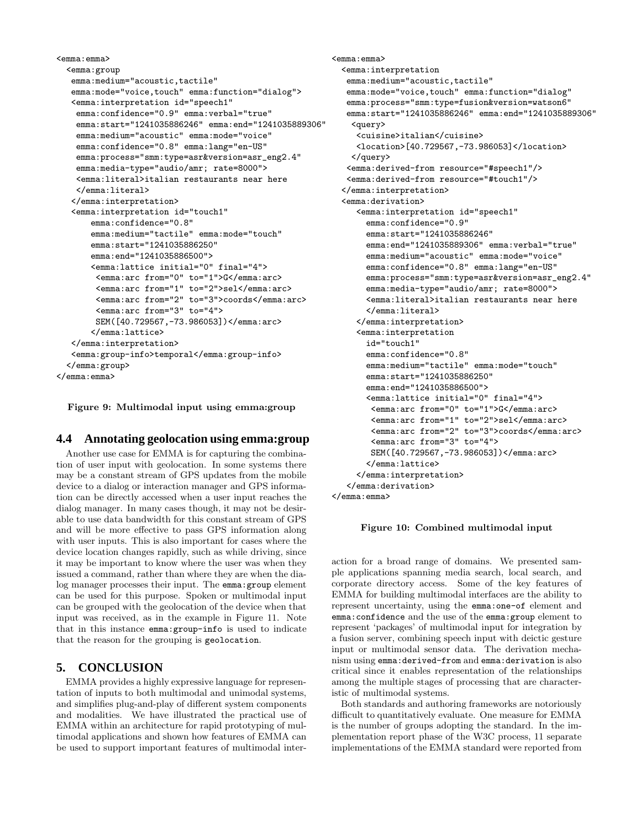```
<emma:emma>
 <emma:group
  emma:medium="acoustic,tactile"
  emma:mode="voice,touch" emma:function="dialog">
  <emma:interpretation id="speech1"
   emma:confidence="0.9" emma:verbal="true"
   emma:start="1241035886246" emma:end="1241035889306"
   emma:medium="acoustic" emma:mode="voice"
   emma:confidence="0.8" emma:lang="en-US"
   emma:process="smm:type=asr&version=asr_eng2.4"
   emma:media-type="audio/amr; rate=8000">
   <emma:literal>italian restaurants near here
   </emma:literal>
  </emma:interpretation>
  <emma:interpretation id="touch1"
      emma:confidence="0.8"
      emma:medium="tactile" emma:mode="touch"
       emma:start="1241035886250"
       emma:end="1241035886500">
       <emma:lattice initial="0" final="4">
        <emma:arc from="0" to="1">G</emma:arc>
        <emma:arc from="1" to="2">sel</emma:arc>
        <emma:arc from="2" to="3">coords</emma:arc>
        <emma:arc from="3" to="4">
        SEM([40.729567,-73.986053])</emma:arc>
       </emma:lattice>
  </emma:interpretation>
  <emma:group-info>temporal</emma:group-info>
 </emma:group>
</emma:emma>
```
**Figure 9: Multimodal input using emma:group**

### **4.4 Annotating geolocation using emma:group**

Another use case for EMMA is for capturing the combination of user input with geolocation. In some systems there may be a constant stream of GPS updates from the mobile device to a dialog or interaction manager and GPS information can be directly accessed when a user input reaches the dialog manager. In many cases though, it may not be desirable to use data bandwidth for this constant stream of GPS and will be more effective to pass GPS information along with user inputs. This is also important for cases where the device location changes rapidly, such as while driving, since it may be important to know where the user was when they issued a command, rather than where they are when the dialog manager processes their input. The emma:group element can be used for this purpose. Spoken or multimodal input can be grouped with the geolocation of the device when that input was received, as in the example in Figure 11. Note that in this instance emma:group-info is used to indicate that the reason for the grouping is geolocation.

### **5. CONCLUSION**

EMMA provides a highly expressive language for representation of inputs to both multimodal and unimodal systems, and simplifies plug-and-play of different system components and modalities. We have illustrated the practical use of EMMA within an architecture for rapid prototyping of multimodal applications and shown how features of EMMA can be used to support important features of multimodal inter-

```
<emma:emma>
 <emma:interpretation
  emma:medium="acoustic,tactile"
  emma:mode="voice,touch" emma:function="dialog"
  emma:process="smm:type=fusion&version=watson6"
  emma:start="1241035886246" emma:end="1241035889306"
    <query>
     <cuisine>italian</cuisine>
     <location>[40.729567,-73.986053]</location>
    </query>
   <emma:derived-from resource="#speech1"/>
  <emma:derived-from resource="#touch1"/>
  </emma:interpretation>
  <emma:derivation>
     <emma:interpretation id="speech1"
       emma:confidence="0.9"
       emma:start="1241035886246"
       emma:end="1241035889306" emma:verbal="true"
       emma:medium="acoustic" emma:mode="voice"
       emma:confidence="0.8" emma:lang="en-US"
       emma:process="smm:type=asr&version=asr_eng2.4"
       emma:media-type="audio/amr; rate=8000">
       <emma:literal>italian restaurants near here
       </emma:literal>
     </emma:interpretation>
     <emma:interpretation
       id="touch1"
       emma:confidence="0.8"
       emma:medium="tactile" emma:mode="touch"
       emma:start="1241035886250"
       emma:end="1241035886500">
       <emma:lattice initial="0" final="4">
        <emma:arc from="0" to="1">G</emma:arc>
        <emma:arc from="1" to="2">sel</emma:arc>
        <emma:arc from="2" to="3">coords</emma:arc>
        <emma:arc from="3" to="4">
        SEM([40.729567,-73.986053])</emma:arc>
       </emma:lattice>
     </emma:interpretation>
   </emma:derivation>
</emma:emma>
```
#### **Figure 10: Combined multimodal input**

action for a broad range of domains. We presented sample applications spanning media search, local search, and corporate directory access. Some of the key features of EMMA for building multimodal interfaces are the ability to represent uncertainty, using the emma:one-of element and emma:confidence and the use of the emma:group element to represent 'packages' of multimodal input for integration by a fusion server, combining speech input with deictic gesture input or multimodal sensor data. The derivation mechanism using emma:derived-from and emma:derivation is also critical since it enables representation of the relationships among the multiple stages of processing that are characteristic of multimodal systems.

Both standards and authoring frameworks are notoriously difficult to quantitatively evaluate. One measure for EMMA is the number of groups adopting the standard. In the implementation report phase of the W3C process, 11 separate implementations of the EMMA standard were reported from